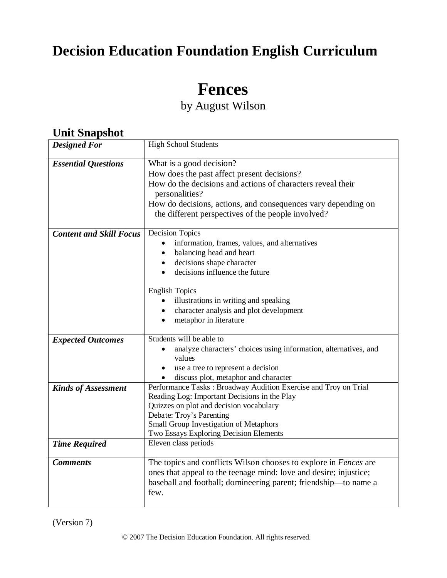# **Decision Education Foundation English Curriculum**

# **Fences**

by August Wilson

### **Unit Snapshot**

| <b>Designed For</b>                                | <b>High School Students</b>                                                                                                                                                                                                                                                                               |  |  |  |
|----------------------------------------------------|-----------------------------------------------------------------------------------------------------------------------------------------------------------------------------------------------------------------------------------------------------------------------------------------------------------|--|--|--|
| <b>Essential Questions</b>                         | What is a good decision?<br>How does the past affect present decisions?<br>How do the decisions and actions of characters reveal their<br>personalities?<br>How do decisions, actions, and consequences vary depending on<br>the different perspectives of the people involved?                           |  |  |  |
| <b>Content and Skill Focus</b>                     | <b>Decision Topics</b><br>information, frames, values, and alternatives<br>balancing head and heart<br>decisions shape character<br>decisions influence the future<br><b>English Topics</b><br>illustrations in writing and speaking<br>character analysis and plot development<br>metaphor in literature |  |  |  |
| <b>Expected Outcomes</b>                           | Students will be able to<br>analyze characters' choices using information, alternatives, and<br>values<br>use a tree to represent a decision<br>discuss plot, metaphor and character                                                                                                                      |  |  |  |
| <b>Kinds of Assessment</b><br><b>Time Required</b> | Performance Tasks: Broadway Audition Exercise and Troy on Trial<br>Reading Log: Important Decisions in the Play<br>Quizzes on plot and decision vocabulary<br>Debate: Troy's Parenting<br>Small Group Investigation of Metaphors<br>Two Essays Exploring Decision Elements<br>Eleven class periods        |  |  |  |
|                                                    |                                                                                                                                                                                                                                                                                                           |  |  |  |
| <b>Comments</b>                                    | The topics and conflicts Wilson chooses to explore in <i>Fences</i> are<br>ones that appeal to the teenage mind: love and desire; injustice;<br>baseball and football; domineering parent; friendship—to name a<br>few.                                                                                   |  |  |  |

(Version 7)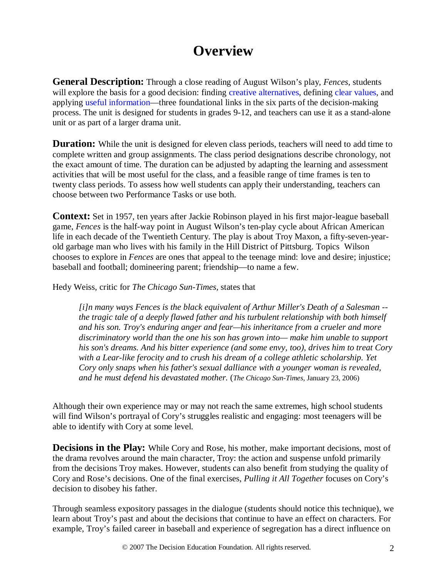# **Overview**

**General Description:** Through a close reading of August Wilson's play, *Fences*, students will explore the basis for a good decision: finding creative alternatives, defining clear values, and applying useful information—three foundational links in the six parts of the decision-making process. The unit is designed for students in grades 9-12, and teachers can use it as a stand-alone unit or as part of a larger drama unit.

**Duration:** While the unit is designed for eleven class periods, teachers will need to add time to complete written and group assignments. The class period designations describe chronology, not the exact amount of time. The duration can be adjusted by adapting the learning and assessment activities that will be most useful for the class, and a feasible range of time frames is ten to twenty class periods. To assess how well students can apply their understanding, teachers can choose between two Performance Tasks or use both.

**Context:** Set in 1957, ten years after Jackie Robinson played in his first major-league baseball game, *Fences* is the half-way point in August Wilson's ten-play cycle about African American life in each decade of the Twentieth Century. The play is about Troy Maxon, a fifty-seven-yearold garbage man who lives with his family in the Hill District of Pittsburg. Topics Wilson chooses to explore in *Fences* are ones that appeal to the teenage mind: love and desire; injustice; baseball and football; domineering parent; friendship—to name a few.

Hedy Weiss, critic for *The Chicago Sun-Times,* states that

*[i]n many ways Fences is the black equivalent of Arthur Miller's Death of a Salesman - the tragic tale of a deeply flawed father and his turbulent relationship with both himself and his son. Troy's enduring anger and fear—his inheritance from a crueler and more discriminatory world than the one his son has grown into— make him unable to support his son's dreams. And his bitter experience (and some envy, too), drives him to treat Cory with a Lear-like ferocity and to crush his dream of a college athletic scholarship. Yet Cory only snaps when his father's sexual dalliance with a younger woman is revealed, and he must defend his devastated mother.* (*The Chicago Sun-Times,* January 23, 2006)

Although their own experience may or may not reach the same extremes, high school students will find Wilson's portrayal of Cory's struggles realistic and engaging: most teenagers will be able to identify with Cory at some level.

**Decisions in the Play:** While Cory and Rose, his mother, make important decisions, most of the drama revolves around the main character, Troy: the action and suspense unfold primarily from the decisions Troy makes. However, students can also benefit from studying the quality of Cory and Rose's decisions. One of the final exercises, *Pulling it All Together* focuses on Cory's decision to disobey his father.

Through seamless expository passages in the dialogue (students should notice this technique), we learn about Troy's past and about the decisions that continue to have an effect on characters. For example, Troy's failed career in baseball and experience of segregation has a direct influence on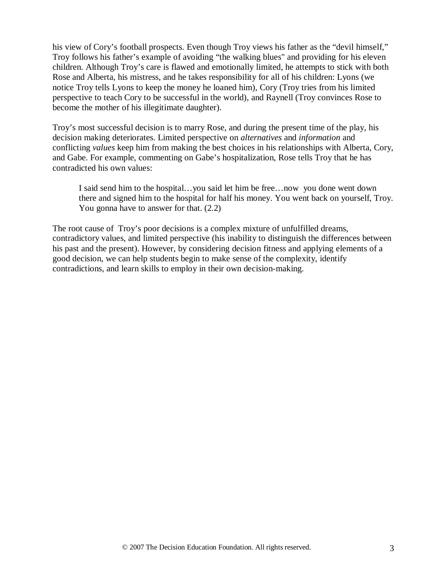his view of Cory's football prospects. Even though Troy views his father as the "devil himself," Troy follows his father's example of avoiding "the walking blues" and providing for his eleven children. Although Troy's care is flawed and emotionally limited, he attempts to stick with both Rose and Alberta, his mistress, and he takes responsibility for all of his children: Lyons (we notice Troy tells Lyons to keep the money he loaned him), Cory (Troy tries from his limited perspective to teach Cory to be successful in the world), and Raynell (Troy convinces Rose to become the mother of his illegitimate daughter).

Troy's most successful decision is to marry Rose, and during the present time of the play, his decision making deteriorates. Limited perspective on *alternatives* and *information* and conflicting *values* keep him from making the best choices in his relationships with Alberta, Cory, and Gabe. For example, commenting on Gabe's hospitalization, Rose tells Troy that he has contradicted his own values:

I said send him to the hospital…you said let him be free…now you done went down there and signed him to the hospital for half his money. You went back on yourself, Troy. You gonna have to answer for that. (2.2)

The root cause of Troy's poor decisions is a complex mixture of unfulfilled dreams, contradictory values, and limited perspective (his inability to distinguish the differences between his past and the present). However, by considering decision fitness and applying elements of a good decision, we can help students begin to make sense of the complexity, identify contradictions, and learn skills to employ in their own decision-making.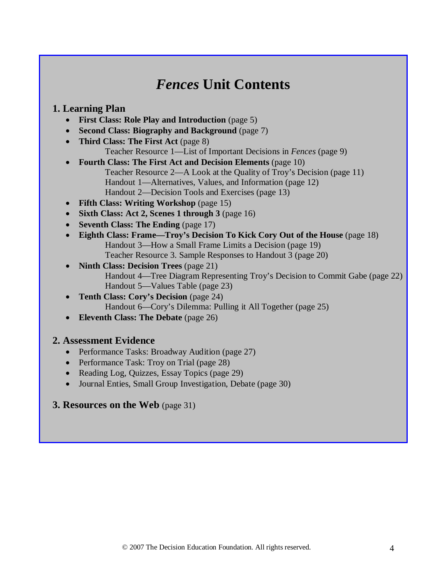# *Fences* **Unit Contents**

### **1. Learning Plan**

- **First Class: Role Play and Introduction** (page 5)
- **Second Class: Biography and Background** (page 7)
- **Third Class: The First Act** (page 8) Teacher Resource 1—List of Important Decisions in *Fences* (page 9)
- **Fourth Class: The First Act and Decision Elements** (page 10) Teacher Resource 2—A Look at the Quality of Troy's Decision (page 11) Handout 1—Alternatives, Values, and Information (page 12) Handout 2—Decision Tools and Exercises (page 13)
- **Fifth Class: Writing Workshop** (page 15)
- **Sixth Class: Act 2, Scenes 1 through 3** (page 16)
- **Seventh Class: The Ending** (page 17)
- **Eighth Class: Frame—Troy's Decision To Kick Cory Out of the House** (page 18) Handout 3—How a Small Frame Limits a Decision (page 19) Teacher Resource 3. Sample Responses to Handout 3 (page 20)
- **Ninth Class: Decision Trees** (page 21) Handout 4—Tree Diagram Representing Troy's Decision to Commit Gabe (page 22) Handout 5—Values Table (page 23)
- **Tenth Class: Cory's Decision** (page 24) Handout 6—Cory's Dilemma: Pulling it All Together (page 25)
- **Eleventh Class: The Debate** (page 26)

### **2. Assessment Evidence**

- Performance Tasks: Broadway Audition (page 27)
- Performance Task: Troy on Trial (page 28)
- Reading Log, Quizzes, Essay Topics (page 29)
- Journal Enties, Small Group Investigation, Debate (page 30)

### **3. Resources on the Web** (page 31)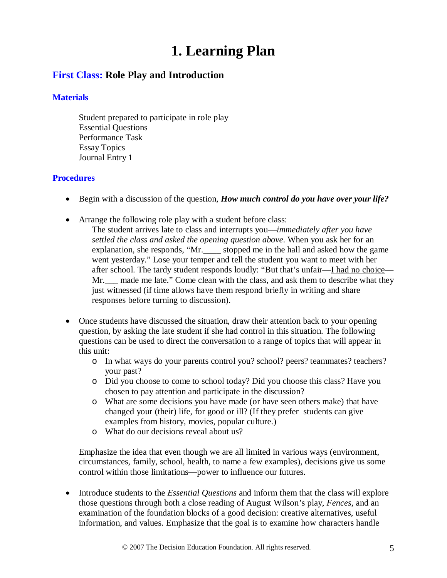# **1. Learning Plan**

### **First Class: Role Play and Introduction**

#### **Materials**

Student prepared to participate in role play Essential Questions Performance Task Essay Topics Journal Entry 1

#### **Procedures**

- Begin with a discussion of the question, *How much control do you have over your life?*
- Arrange the following role play with a student before class:
	- The student arrives late to class and interrupts you—*immediately after you have settled the class and asked the opening question above*. When you ask her for an explanation, she responds, "Mr.\_\_\_\_ stopped me in the hall and asked how the game went yesterday." Lose your temper and tell the student you want to meet with her after school. The tardy student responds loudly: "But that's unfair—I had no choice— Mr. made me late." Come clean with the class, and ask them to describe what they just witnessed (if time allows have them respond briefly in writing and share responses before turning to discussion).
- Once students have discussed the situation, draw their attention back to your opening question, by asking the late student if she had control in this situation. The following questions can be used to direct the conversation to a range of topics that will appear in this unit:
	- o In what ways do your parents control you? school? peers? teammates? teachers? your past?
	- o Did you choose to come to school today? Did you choose this class? Have you chosen to pay attention and participate in the discussion?
	- o What are some decisions you have made (or have seen others make) that have changed your (their) life, for good or ill? (If they prefer students can give examples from history, movies, popular culture.)
	- o What do our decisions reveal about us?

Emphasize the idea that even though we are all limited in various ways (environment, circumstances, family, school, health, to name a few examples), decisions give us some control within those limitations—power to influence our futures.

• Introduce students to the *Essential Questions* and inform them that the class will explore those questions through both a close reading of August Wilson's play, *Fences,* and an examination of the foundation blocks of a good decision: creative alternatives, useful information, and values. Emphasize that the goal is to examine how characters handle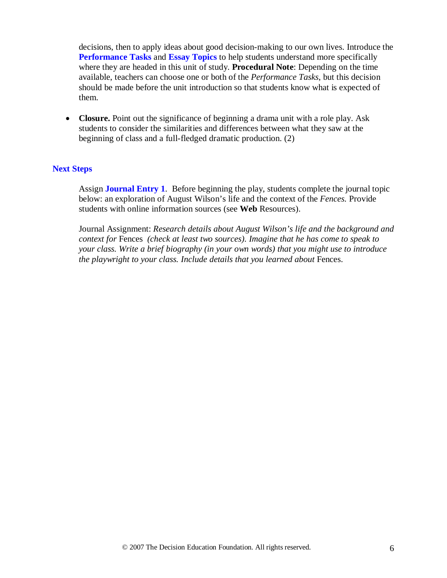decisions, then to apply ideas about good decision-making to our own lives. Introduce the **Performance Tasks** and **Essay Topics** to help students understand more specifically where they are headed in this unit of study. **Procedural Note**: Depending on the time available, teachers can choose one or both of the *Performance Tasks*, but this decision should be made before the unit introduction so that students know what is expected of them.

• **Closure.** Point out the significance of beginning a drama unit with a role play. Ask students to consider the similarities and differences between what they saw at the beginning of class and a full-fledged dramatic production. (2)

#### **Next Steps**

Assign **Journal Entry 1**. Before beginning the play, students complete the journal topic below: an exploration of August Wilson's life and the context of the *Fences.* Provide students with online information sources (see **Web** Resources).

Journal Assignment: *Research details about August Wilson's life and the background and context for* Fences *(check at least two sources). Imagine that he has come to speak to your class. Write a brief biography (in your own words) that you might use to introduce the playwright to your class. Include details that you learned about Fences.*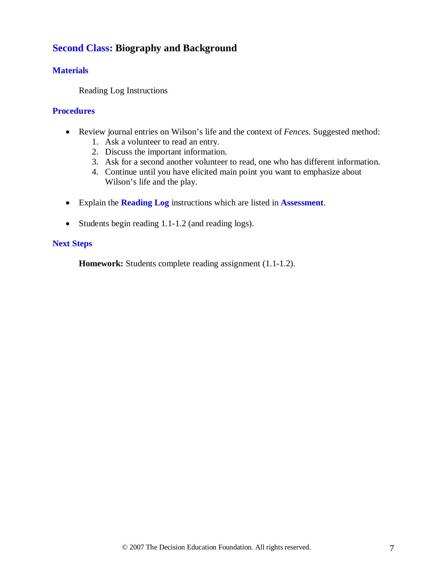### **Second Class: Biography and Background**

#### **Materials**

Reading Log Instructions

#### **Procedures**

- Review journal entries on Wilson's life and the context of *Fences*. Suggested method:
	- 1. Ask a volunteer to read an entry.
	- 2. Discuss the important information.
	- 3. Ask for a second another volunteer to read, one who has different information.
	- 4. Continue until you have elicited main point you want to emphasize about Wilson's life and the play.
- Explain the **Reading Log** instructions which are listed in **Assessment**.
- Students begin reading 1.1-1.2 (and reading logs).

#### **Next Steps**

**Homework:** Students complete reading assignment (1.1-1.2).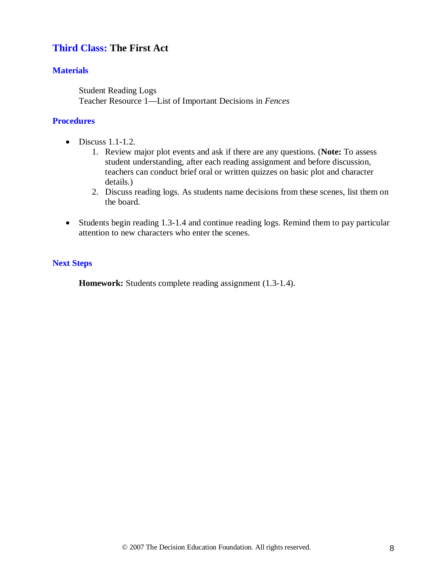### **Third Class: The First Act**

#### **Materials**

Student Reading Logs Teacher Resource 1—List of Important Decisions in *Fences*

#### **Procedures**

- $\bullet$  Discuss 1.1-1.2.
	- 1. Review major plot events and ask if there are any questions. (**Note:** To assess student understanding, after each reading assignment and before discussion, teachers can conduct brief oral or written quizzes on basic plot and character details.)
	- 2. Discuss reading logs. As students name decisions from these scenes, list them on the board.
- Students begin reading 1.3-1.4 and continue reading logs. Remind them to pay particular attention to new characters who enter the scenes.

#### **Next Steps**

**Homework:** Students complete reading assignment (1.3-1.4).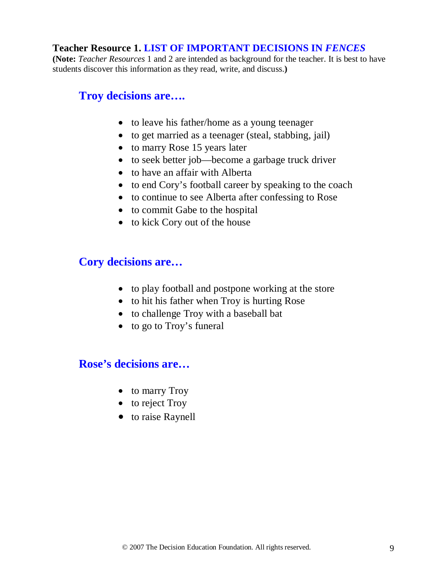### **Teacher Resource 1. LIST OF IMPORTANT DECISIONS IN** *FENCES*

**(Note:** *Teacher Resources* 1 and 2 are intended as background for the teacher. It is best to have students discover this information as they read, write, and discuss.**)**

### **Troy decisions are….**

- to leave his father/home as a young teenager
- to get married as a teenager (steal, stabbing, jail)
- to marry Rose 15 years later
- to seek better job—become a garbage truck driver
- to have an affair with Alberta
- to end Cory's football career by speaking to the coach
- to continue to see Alberta after confessing to Rose
- to commit Gabe to the hospital
- to kick Cory out of the house

### **Cory decisions are…**

- to play football and postpone working at the store
- to hit his father when Troy is hurting Rose
- to challenge Troy with a baseball bat
- to go to Troy's funeral

### **Rose's decisions are…**

- to marry Troy
- to reject Troy
- to raise Raynell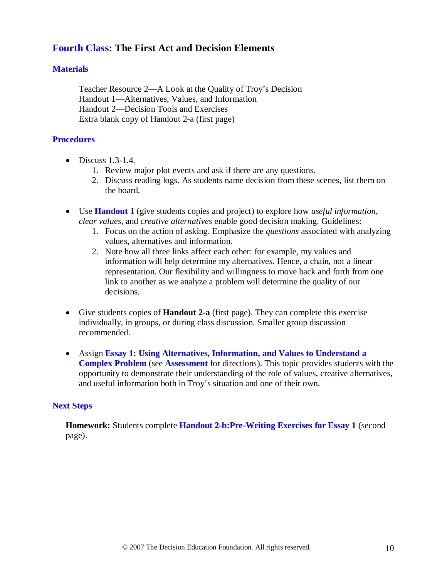### **Fourth Class: The First Act and Decision Elements**

#### **Materials**

Teacher Resource 2—A Look at the Quality of Troy's Decision Handout 1—Alternatives, Values, and Information Handout 2—Decision Tools and Exercises Extra blank copy of Handout 2-a (first page)

#### **Procedures**

- Discuss  $1.3-1.4$ .
	- 1. Review major plot events and ask if there are any questions.
	- 2. Discuss reading logs. As students name decision from these scenes, list them on the board.
- Use **Handout 1** (give students copies and project) to explore how *useful information, clear values,* and *creative alternatives* enable good decision making. Guidelines:
	- 1. Focus on the action of asking. Emphasize the *questions* associated with analyzing values, alternatives and information.
	- 2. Note how all three links affect each other: for example, my values and information will help determine my alternatives. Hence, a chain, not a linear representation. Our flexibility and willingness to move back and forth from one link to another as we analyze a problem will determine the quality of our decisions.
- Give students copies of **Handout 2-a** (first page). They can complete this exercise individually, in groups, or during class discussion. Smaller group discussion recommended.
- Assign **Essay 1: Using Alternatives, Information, and Values to Understand a Complex Problem** (see **Assessment** for directions). This topic provides students with the opportunity to demonstrate their understanding of the role of values, creative alternatives, and useful information both in Troy's situation and one of their own.

#### **Next Steps**

**Homework:** Students complete **Handout 2-b:Pre-Writing Exercises for Essay 1** (second page).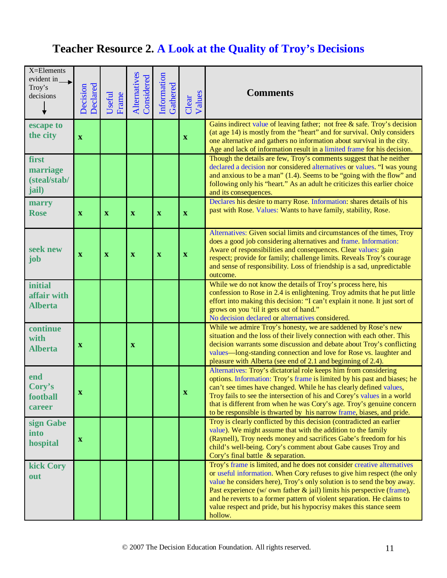# **Teacher Resource 2. A Look at the Quality of Troy's Decisions**

| $X =$ Elements<br>evident in<br>Troy's<br>decisions | Declared<br>Decision      | Useful<br>Frame | Alternatives<br>Considered | Information<br>Gathered   | Values<br>Clear | <b>Comments</b>                                                                                                                                                                                                                                                                                                                                                                                                                                                        |
|-----------------------------------------------------|---------------------------|-----------------|----------------------------|---------------------------|-----------------|------------------------------------------------------------------------------------------------------------------------------------------------------------------------------------------------------------------------------------------------------------------------------------------------------------------------------------------------------------------------------------------------------------------------------------------------------------------------|
| escape to<br>the city                               | $\mathbf{X}$              |                 |                            |                           | $\mathbf X$     | Gains indirect value of leaving father; not free $\&$ safe. Troy's decision<br>(at age 14) is mostly from the "heart" and for survival. Only considers<br>one alternative and gathers no information about survival in the city.<br>Age and lack of information result in a limited frame for his decision.                                                                                                                                                            |
| first<br>marriage<br>(steal/stab/<br>jail)          |                           |                 |                            |                           |                 | Though the details are few, Troy's comments suggest that he neither<br>declared a decision nor considered alternatives or values. "I was young<br>and anxious to be a man" (1.4). Seems to be "going with the flow" and<br>following only his "heart." As an adult he criticizes this earlier choice<br>and its consequences.                                                                                                                                          |
| marry<br><b>Rose</b>                                | $\mathbf X$               | $\mathbf X$     | $\mathbf X$                | $\boldsymbol{\mathrm{X}}$ | $\mathbf{X}$    | Declares his desire to marry Rose. Information: shares details of his<br>past with Rose. Values: Wants to have family, stability, Rose.                                                                                                                                                                                                                                                                                                                                |
| seek new<br>job                                     | $\mathbf{X}$              | $\mathbf X$     | $\mathbf X$                | $\boldsymbol{\mathrm{X}}$ | $\mathbf X$     | Alternatives: Given social limits and circumstances of the times, Troy<br>does a good job considering alternatives and frame. Information:<br>Aware of responsibilities and consequences. Clear values: gain<br>respect; provide for family; challenge limits. Reveals Troy's courage<br>and sense of responsibility. Loss of friendship is a sad, unpredictable<br>outcome.                                                                                           |
| <i>initial</i><br>affair with<br><b>Alberta</b>     |                           |                 |                            |                           |                 | While we do not know the details of Troy's process here, his<br>confession to Rose in 2.4 is enlightening. Troy admits that he put little<br>effort into making this decision: "I can't explain it none. It just sort of<br>grows on you 'til it gets out of hand."<br>No decision declared or alternatives considered.                                                                                                                                                |
| continue<br>with<br><b>Alberta</b>                  | $\boldsymbol{\mathrm{X}}$ |                 | $\mathbf X$                |                           |                 | While we admire Troy's honesty, we are saddened by Rose's new<br>situation and the loss of their lively connection with each other. This<br>decision warrants some discussion and debate about Troy's conflicting<br>values-long-standing connection and love for Rose vs. laughter and<br>pleasure with Alberta (see end of 2.1 and beginning of 2.4).                                                                                                                |
| end<br>Cory's<br>football<br>career                 |                           |                 |                            |                           | x               | Alternatives: Troy's dictatorial role keeps him from considering<br>options. Information: Troy's frame is limited by his past and biases; he<br>can't see times have changed. While he has clearly defined values,<br>Troy fails to see the intersection of his and Corey's values in a world<br>that is different from when he was Cory's age. Troy's genuine concern<br>to be responsible is thwarted by his narrow frame, biases, and pride.                        |
| sign Gabe<br>into<br>hospital                       | $\mathbf X$               |                 |                            |                           |                 | Troy is clearly conflicted by this decision (contradicted an earlier<br>value). We might assume that with the addition to the family<br>(Raynell), Troy needs money and sacrifices Gabe's freedom for his<br>child's well-being. Cory's comment about Gabe causes Troy and<br>Cory's final battle & separation.                                                                                                                                                        |
| kick Cory<br>out                                    |                           |                 |                            |                           |                 | Troy's frame is limited, and he does not consider creative alternatives<br>or useful information. When Cory refuses to give him respect (the only<br>value he considers here), Troy's only solution is to send the boy away.<br>Past experience ( $w/$ own father $\&$ jail) limits his perspective (frame),<br>and he reverts to a former pattern of violent separation. He claims to<br>value respect and pride, but his hypocrisy makes this stance seem<br>hollow. |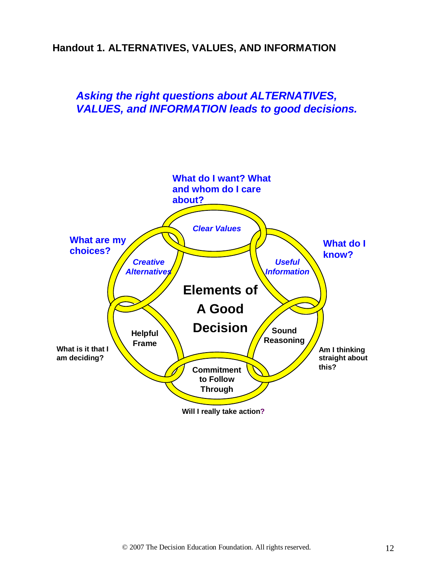### **Handout 1. ALTERNATIVES, VALUES, AND INFORMATION**

### *Asking the right questions about ALTERNATIVES, VALUES, and INFORMATION leads to good decisions.*

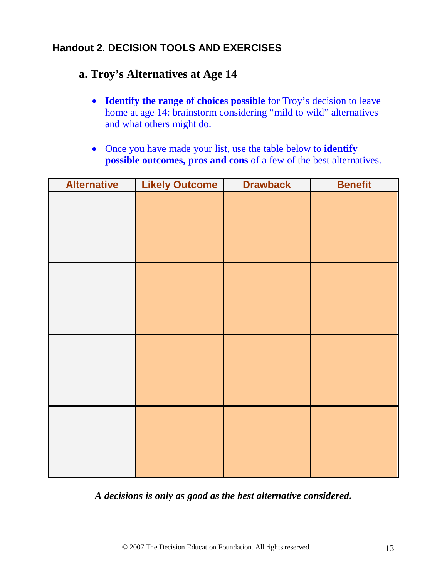### **Handout 2. DECISION TOOLS AND EXERCISES**

## **a. Troy's Alternatives at Age 14**

- **Identify the range of choices possible** for Troy's decision to leave home at age 14: brainstorm considering "mild to wild" alternatives and what others might do.
- Once you have made your list, use the table below to **identify possible outcomes, pros and cons** of a few of the best alternatives.

| <b>Alternative</b> | <b>Likely Outcome</b> | <b>Drawback</b> | <b>Benefit</b> |
|--------------------|-----------------------|-----------------|----------------|
|                    |                       |                 |                |
|                    |                       |                 |                |
|                    |                       |                 |                |
|                    |                       |                 |                |
|                    |                       |                 |                |
|                    |                       |                 |                |
|                    |                       |                 |                |
|                    |                       |                 |                |
|                    |                       |                 |                |
|                    |                       |                 |                |
|                    |                       |                 |                |
|                    |                       |                 |                |
|                    |                       |                 |                |
|                    |                       |                 |                |
|                    |                       |                 |                |
|                    |                       |                 |                |

*A decisions is only as good as the best alternative considered.*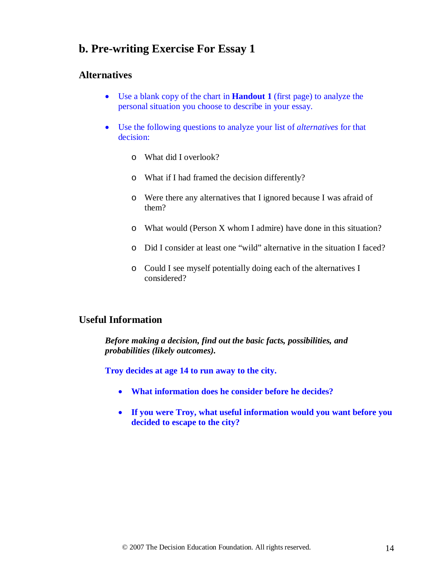### **b. Pre-writing Exercise For Essay 1**

#### **Alternatives**

- Use a blank copy of the chart in **Handout 1** (first page) to analyze the personal situation you choose to describe in your essay.
- Use the following questions to analyze your list of *alternatives* for that decision:
	- o What did I overlook?
	- o What if I had framed the decision differently?
	- o Were there any alternatives that I ignored because I was afraid of them?
	- o What would (Person X whom I admire) have done in this situation?
	- o Did I consider at least one "wild" alternative in the situation I faced?
	- o Could I see myself potentially doing each of the alternatives I considered?

#### **Useful Information**

*Before making a decision, find out the basic facts, possibilities, and probabilities (likely outcomes).*

**Troy decides at age 14 to run away to the city.**

- **What information does he consider before he decides?**
- **If you were Troy, what useful information would you want before you decided to escape to the city?**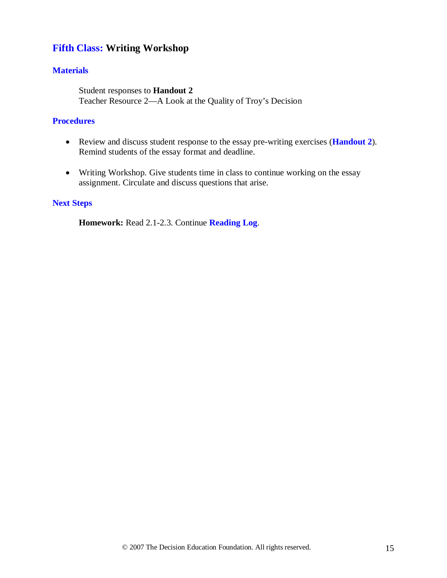### **Fifth Class: Writing Workshop**

#### **Materials**

Student responses to **Handout 2** Teacher Resource 2—A Look at the Quality of Troy's Decision

#### **Procedures**

- Review and discuss student response to the essay pre-writing exercises (**Handout 2**). Remind students of the essay format and deadline.
- Writing Workshop. Give students time in class to continue working on the essay assignment. Circulate and discuss questions that arise.

#### **Next Steps**

**Homework:** Read 2.1-2.3. Continue **Reading Log**.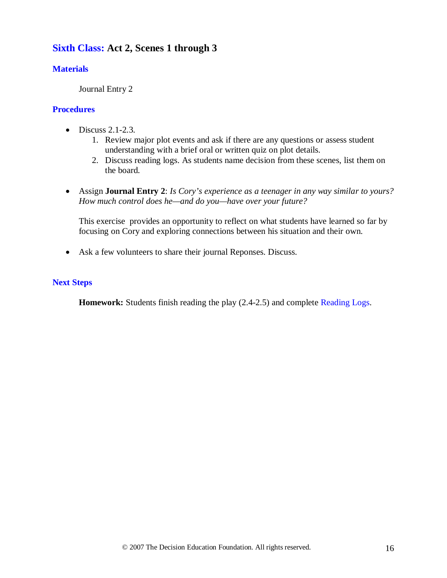### **Sixth Class: Act 2, Scenes 1 through 3**

#### **Materials**

Journal Entry 2

#### **Procedures**

- $\bullet$  Discuss 2.1-2.3.
	- 1. Review major plot events and ask if there are any questions or assess student understanding with a brief oral or written quiz on plot details.
	- 2. Discuss reading logs. As students name decision from these scenes, list them on the board.
- Assign **Journal Entry 2**: *Is Cory's experience as a teenager in any way similar to yours? How much control does he—and do you—have over your future?*

This exercise provides an opportunity to reflect on what students have learned so far by focusing on Cory and exploring connections between his situation and their own.

• Ask a few volunteers to share their journal Reponses. Discuss.

#### **Next Steps**

**Homework:** Students finish reading the play (2.4-2.5) and complete Reading Logs.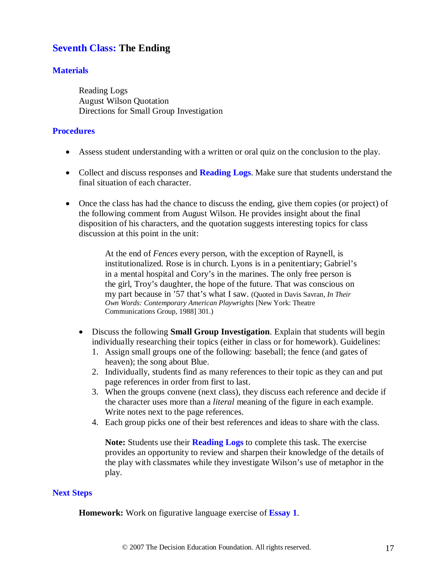### **Seventh Class: The Ending**

#### **Materials**

Reading Logs August Wilson Quotation Directions for Small Group Investigation

#### **Procedures**

- Assess student understanding with a written or oral quiz on the conclusion to the play.
- Collect and discuss responses and **Reading Logs**. Make sure that students understand the final situation of each character.
- Once the class has had the chance to discuss the ending, give them copies (or project) of the following comment from August Wilson. He provides insight about the final disposition of his characters, and the quotation suggests interesting topics for class discussion at this point in the unit:

At the end of *Fences* every person, with the exception of Raynell, is institutionalized. Rose is in church. Lyons is in a penitentiary; Gabriel's in a mental hospital and Cory's in the marines. The only free person is the girl, Troy's daughter, the hope of the future. That was conscious on my part because in '57 that's what I saw. (Quoted in Davis Savran, *In Their Own Words: Contemporary American Playwrights* [New York: Theatre Communications Group, 1988] 301.)

- Discuss the following **Small Group Investigation**. Explain that students will begin individually researching their topics (either in class or for homework). Guidelines:
	- 1. Assign small groups one of the following: baseball; the fence (and gates of heaven); the song about Blue.
	- 2. Individually, students find as many references to their topic as they can and put page references in order from first to last.
	- 3. When the groups convene (next class), they discuss each reference and decide if the character uses more than a *literal* meaning of the figure in each example. Write notes next to the page references.
	- 4. Each group picks one of their best references and ideas to share with the class.

**Note:** Students use their **Reading Logs** to complete this task. The exercise provides an opportunity to review and sharpen their knowledge of the details of the play with classmates while they investigate Wilson's use of metaphor in the play.

#### **Next Steps**

**Homework:** Work on figurative language exercise of **Essay 1**.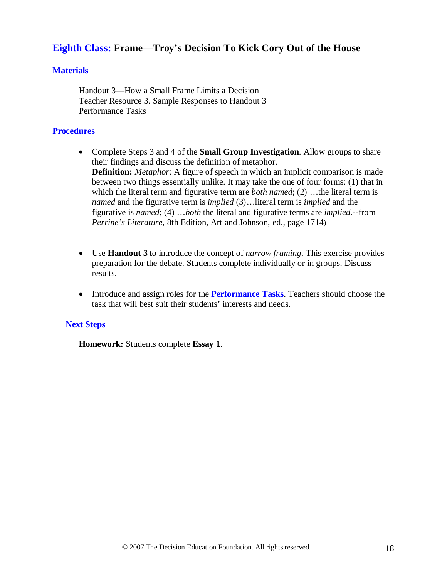### **Eighth Class: Frame—Troy's Decision To Kick Cory Out of the House**

#### **Materials**

Handout 3—How a Small Frame Limits a Decision Teacher Resource 3. Sample Responses to Handout 3 Performance Tasks

#### **Procedures**

- Complete Steps 3 and 4 of the **Small Group Investigation**. Allow groups to share their findings and discuss the definition of metaphor. **Definition:** *Metaphor*: A figure of speech in which an implicit comparison is made between two things essentially unlike. It may take the one of four forms: (1) that in which the literal term and figurative term are *both named*; (2) ...the literal term is *named* and the figurative term is *implied* (3)…literal term is *implied* and the figurative is *named*; (4) …*both* the literal and figurative terms are *implied.*--from *Perrine's Literature*, 8th Edition, Art and Johnson, ed., page 1714)
- Use **Handout 3** to introduce the concept of *narrow framing*. This exercise provides preparation for the debate. Students complete individually or in groups. Discuss results.
- Introduce and assign roles for the **Performance Tasks**. Teachers should choose the task that will best suit their students' interests and needs.

#### **Next Steps**

**Homework:** Students complete **Essay 1**.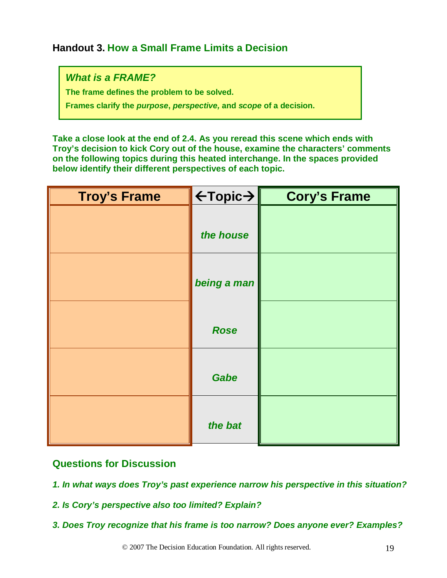### **Handout 3. How a Small Frame Limits a Decision**

*What is a FRAME?*

**The frame defines the problem to be solved.**

**Frames clarify the** *purpose***,** *perspective,* **and** *scope* **of a decision.**

**Take a close look at the end of 2.4. As you reread this scene which ends with Troy's decision to kick Cory out of the house, examine the characters' comments on the following topics during this heated interchange. In the spaces provided below identify their different perspectives of each topic.**

| <b>Troy's Frame</b> | $\leftarrow$ Topic $\rightarrow$ | <b>Cory's Frame</b> |
|---------------------|----------------------------------|---------------------|
|                     | the house                        |                     |
|                     | being a man                      |                     |
|                     | <b>Rose</b>                      |                     |
|                     | Gabe                             |                     |
|                     | the bat                          |                     |

### **Questions for Discussion**

- *1. In what ways does Troy's past experience narrow his perspective in this situation?*
- *2. Is Cory's perspective also too limited? Explain?*
- *3. Does Troy recognize that his frame is too narrow? Does anyone ever? Examples?*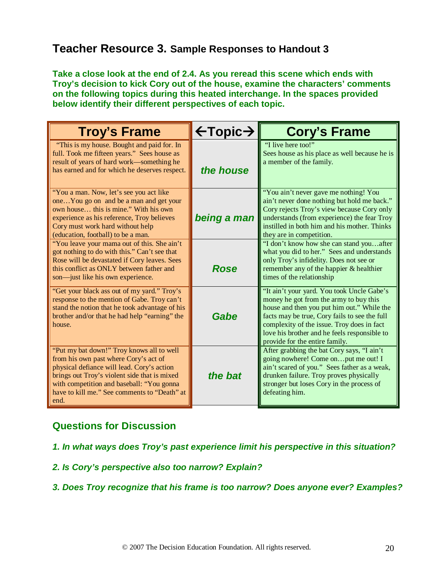### **Teacher Resource 3. Sample Responses to Handout 3**

**Take a close look at the end of 2.4. As you reread this scene which ends with Troy's decision to kick Cory out of the house, examine the characters' comments on the following topics during this heated interchange. In the spaces provided below identify their different perspectives of each topic.**

| <b>Troy's Frame</b>                                                                                                                                                                                                                                                                   | $\leftarrow$ Topic $\rightarrow$ | <b>Cory's Frame</b>                                                                                                                                                                                                                                                                                                 |
|---------------------------------------------------------------------------------------------------------------------------------------------------------------------------------------------------------------------------------------------------------------------------------------|----------------------------------|---------------------------------------------------------------------------------------------------------------------------------------------------------------------------------------------------------------------------------------------------------------------------------------------------------------------|
| "This is my house. Bought and paid for. In<br>full. Took me fifteen years." Sees house as<br>result of years of hard work—something he<br>has earned and for which he deserves respect.                                                                                               | the house                        | "I live here too!"<br>Sees house as his place as well because he is<br>a member of the family.                                                                                                                                                                                                                      |
| "You a man. Now, let's see you act like<br>oneYou go on and be a man and get your<br>own house this is mine." With his own<br>experience as his reference, Troy believes<br>Cory must work hard without help<br>(education, football) to be a man.                                    | being a man                      | "You ain't never gave me nothing! You<br>ain't never done nothing but hold me back."<br>Cory rejects Troy's view because Cory only<br>understands (from experience) the fear Troy<br>instilled in both him and his mother. Thinks<br>they are in competition.                                                       |
| "You leave your mama out of this. She ain't<br>got nothing to do with this." Can't see that<br>Rose will be devastated if Cory leaves. Sees<br>this conflict as ONLY between father and<br>son—just like his own experience.                                                          | <b>Rose</b>                      | "I don't know how she can stand youafter<br>what you did to her." Sees and understands<br>only Troy's infidelity. Does not see or<br>remember any of the happier & healthier<br>times of the relationship                                                                                                           |
| "Get your black ass out of my yard." Troy's<br>response to the mention of Gabe. Troy can't<br>stand the notion that he took advantage of his<br>brother and/or that he had help "earning" the<br>house.                                                                               | Gabe                             | "It ain't your yard. You took Uncle Gabe's<br>money he got from the army to buy this<br>house and then you put him out." While the<br>facts may be true, Cory fails to see the full<br>complexity of the issue. Troy does in fact<br>love his brother and he feels responsible to<br>provide for the entire family. |
| "Put my bat down!" Troy knows all to well<br>from his own past where Cory's act of<br>physical defiance will lead. Cory's action<br>brings out Troy's violent side that is mixed<br>with competition and baseball: "You gonna<br>have to kill me." See comments to "Death" at<br>end. | the bat                          | After grabbing the bat Cory says, "I ain't<br>going nowhere! Come onput me out! I<br>ain't scared of you." Sees father as a weak,<br>drunken failure. Troy proves physically<br>stronger but loses Cory in the process of<br>defeating him.                                                                         |

### **Questions for Discussion**

*1. In what ways does Troy's past experience limit his perspective in this situation?*

*2. Is Cory's perspective also too narrow? Explain?*

*3. Does Troy recognize that his frame is too narrow? Does anyone ever? Examples?*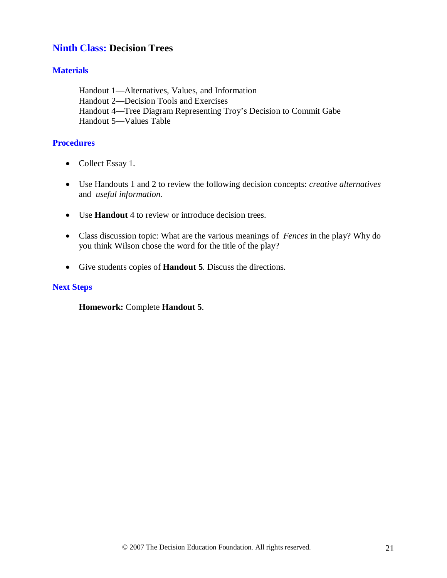### **Ninth Class: Decision Trees**

#### **Materials**

Handout 1—Alternatives, Values, and Information Handout 2—Decision Tools and Exercises Handout 4—Tree Diagram Representing Troy's Decision to Commit Gabe Handout 5—Values Table

#### **Procedures**

- Collect Essay 1.
- Use Handouts 1 and 2 to review the following decision concepts: *creative alternatives* and *useful information.*
- Use **Handout** 4 to review or introduce decision trees.
- Class discussion topic: What are the various meanings of *Fences* in the play? Why do you think Wilson chose the word for the title of the play?
- Give students copies of **Handout 5**. Discuss the directions.

#### **Next Steps**

**Homework:** Complete **Handout 5**.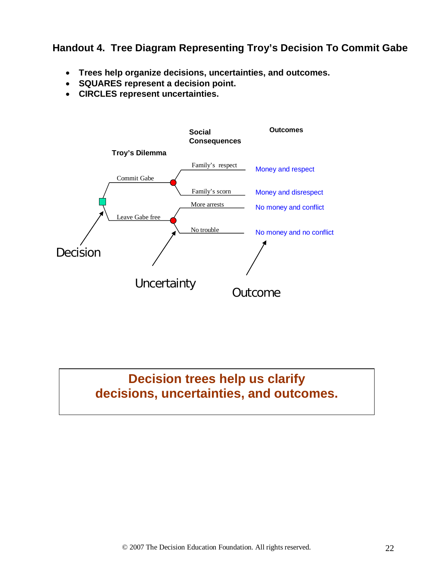### **Handout 4. Tree Diagram Representing Troy's Decision To Commit Gabe**

- **Trees help organize decisions, uncertainties, and outcomes.**
- **SQUARES represent a decision point.**
- **CIRCLES represent uncertainties.**



# **Decision trees help us clarify decisions, uncertainties, and outcomes.**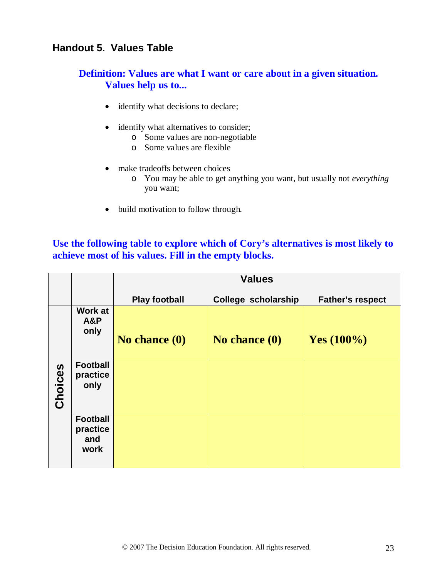### **Handout 5. Values Table**

### **Definition: Values are what I want or care about in a given situation. Values help us to...**

- identify what decisions to declare;
- identify what alternatives to consider;
	- o Some values are non-negotiable
	- o Some values are flexible
- make tradeoffs between choices
	- o You may be able to get anything you want, but usually not *everything* you want;
- build motivation to follow through.

### **Use the following table to explore which of Cory's alternatives is most likely to achieve most of his values. Fill in the empty blocks.**

|         |                                            | <b>Values</b>        |                     |                         |  |  |  |  |
|---------|--------------------------------------------|----------------------|---------------------|-------------------------|--|--|--|--|
|         |                                            | <b>Play football</b> | College scholarship | <b>Father's respect</b> |  |  |  |  |
|         | <b>Work at</b><br>A&P<br>only              | No chance (0)        | No chance $(0)$     | Yes $(100\%)$           |  |  |  |  |
| Choices | <b>Football</b><br>practice<br>only        |                      |                     |                         |  |  |  |  |
|         | <b>Football</b><br>practice<br>and<br>work |                      |                     |                         |  |  |  |  |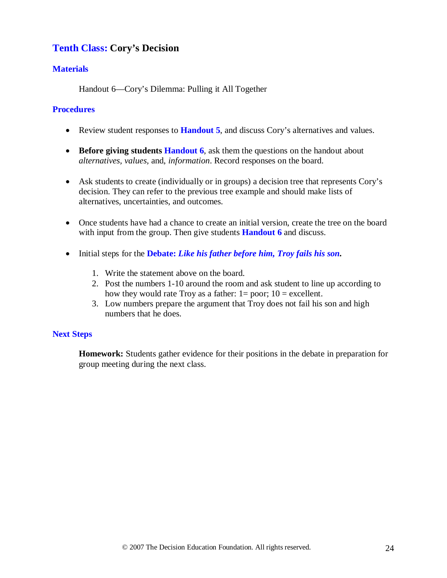### **Tenth Class: Cory's Decision**

#### **Materials**

Handout 6—Cory's Dilemma: Pulling it All Together

#### **Procedures**

- Review student responses to **Handout 5**, and discuss Cory's alternatives and values.
- **Before giving students Handout 6**, ask them the questions on the handout about *alternatives, values,* and, *information*. Record responses on the board.
- Ask students to create (individually or in groups) a decision tree that represents Cory's decision. They can refer to the previous tree example and should make lists of alternatives, uncertainties, and outcomes.
- Once students have had a chance to create an initial version, create the tree on the board with input from the group. Then give students **Handout 6** and discuss.
- Initial steps for the **Debate:** *Like his father before him, Troy fails his son.*
	- 1. Write the statement above on the board.
	- 2. Post the numbers 1-10 around the room and ask student to line up according to how they would rate Troy as a father:  $1=$  poor;  $10 =$  excellent.
	- 3. Low numbers prepare the argument that Troy does not fail his son and high numbers that he does.

#### **Next Steps**

**Homework:** Students gather evidence for their positions in the debate in preparation for group meeting during the next class.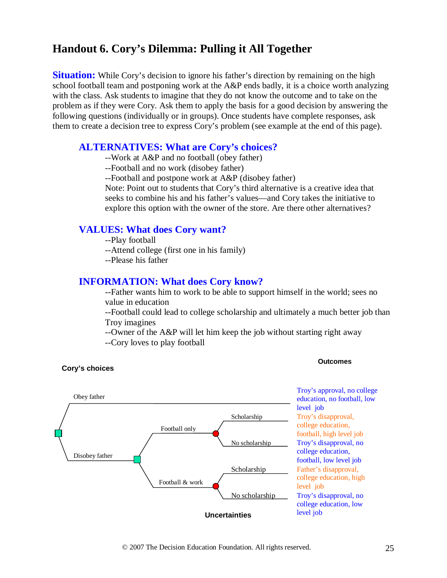### **Handout 6. Cory's Dilemma: Pulling it All Together**

**Situation:** While Cory's decision to ignore his father's direction by remaining on the high school football team and postponing work at the A&P ends badly, it is a choice worth analyzing with the class. Ask students to imagine that they do not know the outcome and to take on the problem as if they were Cory. Ask them to apply the basis for a good decision by answering the following questions (individually or in groups). Once students have complete responses, ask them to create a decision tree to express Cory's problem (see example at the end of this page).

#### **ALTERNATIVES: What are Cory's choices?**

--Work at A&P and no football (obey father)

--Football and no work (disobey father)

--Football and postpone work at A&P (disobey father)

Note: Point out to students that Cory's third alternative is a creative idea that seeks to combine his and his father's values—and Cory takes the initiative to explore this option with the owner of the store. Are there other alternatives?

#### **VALUES: What does Cory want?**

- --Play football
- --Attend college (first one in his family)
- --Please his father

#### **INFORMATION: What does Cory know?**

--Father wants him to work to be able to support himself in the world; sees no value in education

--Football could lead to college scholarship and ultimately a much better job than Troy imagines

--Owner of the A&P will let him keep the job without starting right away

--Cory loves to play football



#### **Cory's choices**

**Outcomes**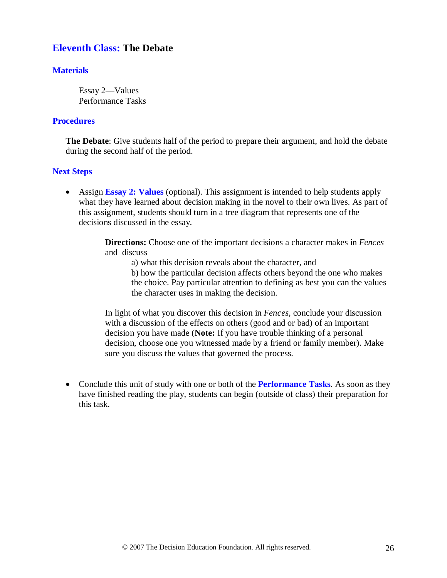### **Eleventh Class: The Debate**

#### **Materials**

Essay 2—Values Performance Tasks

#### **Procedures**

**The Debate**: Give students half of the period to prepare their argument, and hold the debate during the second half of the period.

#### **Next Steps**

• Assign **Essay 2: Values** (optional). This assignment is intended to help students apply what they have learned about decision making in the novel to their own lives. As part of this assignment, students should turn in a tree diagram that represents one of the decisions discussed in the essay.

> **Directions:** Choose one of the important decisions a character makes in *Fences* and discuss

a) what this decision reveals about the character, and

b) how the particular decision affects others beyond the one who makes the choice. Pay particular attention to defining as best you can the values the character uses in making the decision.

In light of what you discover this decision in *Fences,* conclude your discussion with a discussion of the effects on others (good and or bad) of an important decision you have made (**Note:** If you have trouble thinking of a personal decision, choose one you witnessed made by a friend or family member). Make sure you discuss the values that governed the process.

• Conclude this unit of study with one or both of the **Performance Tasks***.* As soon as they have finished reading the play, students can begin (outside of class) their preparation for this task.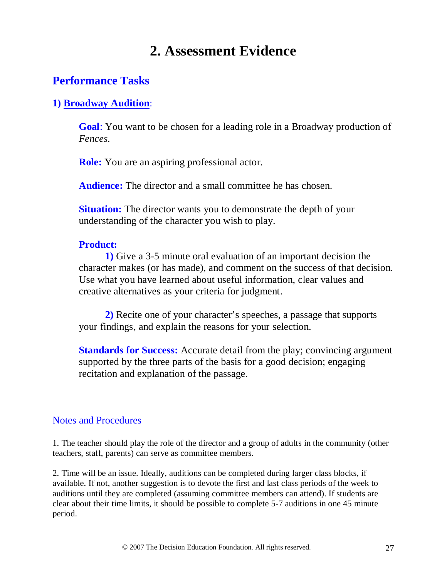# **2. Assessment Evidence**

### **Performance Tasks**

### **1) Broadway Audition**:

**Goal**: You want to be chosen for a leading role in a Broadway production of *Fences.*

**Role:** You are an aspiring professional actor.

**Audience:** The director and a small committee he has chosen.

**Situation:** The director wants you to demonstrate the depth of your understanding of the character you wish to play.

#### **Product:**

**1)** Give a 3-5 minute oral evaluation of an important decision the character makes (or has made), and comment on the success of that decision. Use what you have learned about useful information, clear values and creative alternatives as your criteria for judgment.

**2)** Recite one of your character's speeches, a passage that supports your findings, and explain the reasons for your selection.

**Standards for Success:** Accurate detail from the play; convincing argument supported by the three parts of the basis for a good decision; engaging recitation and explanation of the passage.

### Notes and Procedures

1. The teacher should play the role of the director and a group of adults in the community (other teachers, staff, parents) can serve as committee members.

2. Time will be an issue. Ideally, auditions can be completed during larger class blocks, if available. If not, another suggestion is to devote the first and last class periods of the week to auditions until they are completed (assuming committee members can attend). If students are clear about their time limits, it should be possible to complete 5-7 auditions in one 45 minute period.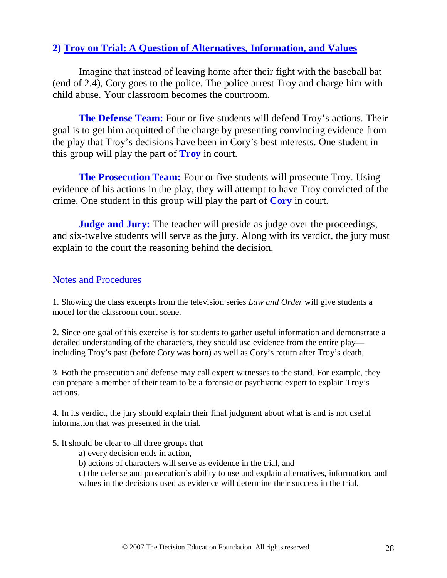### **2) Troy on Trial: A Question of Alternatives, Information, and Values**

Imagine that instead of leaving home after their fight with the baseball bat (end of 2.4), Cory goes to the police. The police arrest Troy and charge him with child abuse. Your classroom becomes the courtroom.

**The Defense Team:** Four or five students will defend Troy's actions. Their goal is to get him acquitted of the charge by presenting convincing evidence from the play that Troy's decisions have been in Cory's best interests. One student in this group will play the part of **Troy** in court.

**The Prosecution Team:** Four or five students will prosecute Troy. Using evidence of his actions in the play, they will attempt to have Troy convicted of the crime. One student in this group will play the part of **Cory** in court.

**Judge and Jury:** The teacher will preside as judge over the proceedings, and six-twelve students will serve as the jury. Along with its verdict, the jury must explain to the court the reasoning behind the decision.

#### Notes and Procedures

1. Showing the class excerpts from the television series *Law and Order* will give students a model for the classroom court scene.

2. Since one goal of this exercise is for students to gather useful information and demonstrate a detailed understanding of the characters, they should use evidence from the entire play including Troy's past (before Cory was born) as well as Cory's return after Troy's death.

3. Both the prosecution and defense may call expert witnesses to the stand. For example, they can prepare a member of their team to be a forensic or psychiatric expert to explain Troy's actions.

4. In its verdict, the jury should explain their final judgment about what is and is not useful information that was presented in the trial.

#### 5. It should be clear to all three groups that

- a) every decision ends in action,
- b) actions of characters will serve as evidence in the trial, and

c) the defense and prosecution's ability to use and explain alternatives, information, and values in the decisions used as evidence will determine their success in the trial.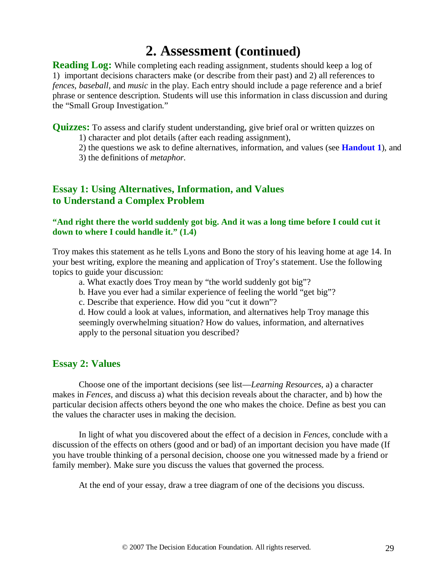# **2. Assessment (continued)**

**Reading Log:** While completing each reading assignment, students should keep a log of 1) important decisions characters make (or describe from their past) and 2) all references to *fences, baseball,* and *music* in the play. Each entry should include a page reference and a brief phrase or sentence description. Students will use this information in class discussion and during the "Small Group Investigation."

**Quizzes:** To assess and clarify student understanding, give brief oral or written quizzes on

1) character and plot details (after each reading assignment),

2) the questions we ask to define alternatives, information, and values (see **Handout 1**), and

3) the definitions of *metaphor.*

### **Essay 1: Using Alternatives, Information, and Values to Understand a Complex Problem**

#### **"And right there the world suddenly got big. And it was a long time before I could cut it down to where I could handle it." (1.4)**

Troy makes this statement as he tells Lyons and Bono the story of his leaving home at age 14. In your best writing, explore the meaning and application of Troy's statement. Use the following topics to guide your discussion:

- a. What exactly does Troy mean by "the world suddenly got big"?
- b. Have you ever had a similar experience of feeling the world "get big"?
- c. Describe that experience. How did you "cut it down"?

 d. How could a look at values, information, and alternatives help Troy manage this seemingly overwhelming situation? How do values, information, and alternatives apply to the personal situation you described?

#### **Essay 2: Values**

Choose one of the important decisions (see list—*Learning Resources,* a) a character makes in *Fences,* and discuss a) what this decision reveals about the character, and b) how the particular decision affects others beyond the one who makes the choice. Define as best you can the values the character uses in making the decision.

In light of what you discovered about the effect of a decision in *Fences,* conclude with a discussion of the effects on others (good and or bad) of an important decision you have made (If you have trouble thinking of a personal decision, choose one you witnessed made by a friend or family member). Make sure you discuss the values that governed the process.

At the end of your essay, draw a tree diagram of one of the decisions you discuss.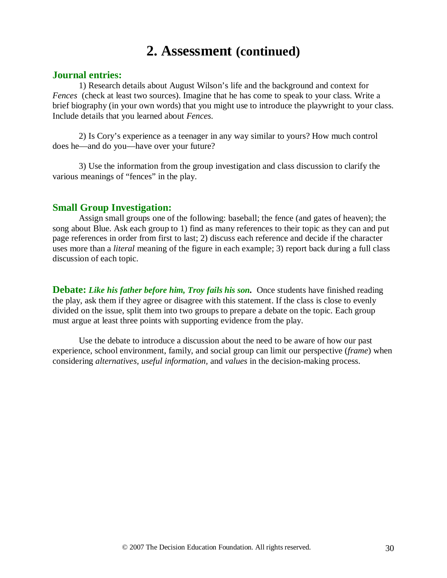# **2. Assessment (continued)**

#### **Journal entries:**

1) Research details about August Wilson's life and the background and context for *Fences* (check at least two sources). Imagine that he has come to speak to your class. Write a brief biography (in your own words) that you might use to introduce the playwright to your class. Include details that you learned about *Fences*.

2) Is Cory's experience as a teenager in any way similar to yours? How much control does he—and do you—have over your future?

3) Use the information from the group investigation and class discussion to clarify the various meanings of "fences" in the play.

#### **Small Group Investigation:**

Assign small groups one of the following: baseball; the fence (and gates of heaven); the song about Blue. Ask each group to 1) find as many references to their topic as they can and put page references in order from first to last; 2) discuss each reference and decide if the character uses more than a *literal* meaning of the figure in each example; 3) report back during a full class discussion of each topic.

**Debate:** *Like his father before him, Troy fails his son.* Once students have finished reading the play, ask them if they agree or disagree with this statement. If the class is close to evenly divided on the issue, split them into two groups to prepare a debate on the topic. Each group must argue at least three points with supporting evidence from the play.

Use the debate to introduce a discussion about the need to be aware of how our past experience, school environment, family, and social group can limit our perspective (*frame*) when considering *alternatives, useful information,* and *values* in the decision-making process.